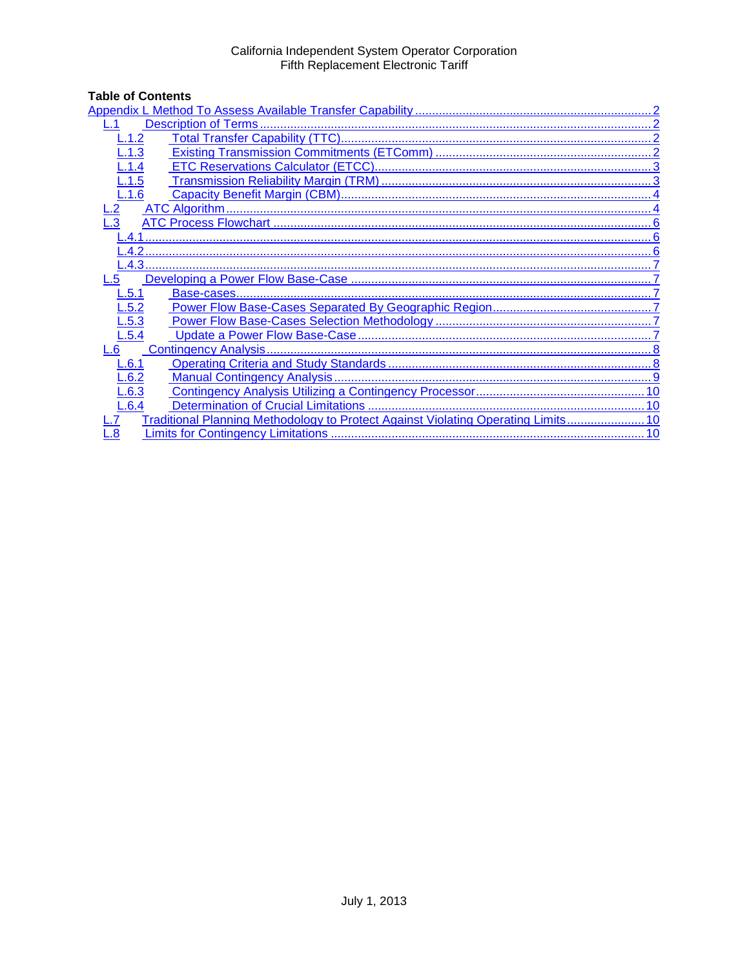# California Independent System Operator Corporation<br>Fifth Replacement Electronic Tariff

# **Table of Contents**

| $-.1.2$                                                                           |  |  |  |
|-----------------------------------------------------------------------------------|--|--|--|
| .1.3                                                                              |  |  |  |
| L.1.4                                                                             |  |  |  |
| $-.1.5$                                                                           |  |  |  |
| L.1.6                                                                             |  |  |  |
|                                                                                   |  |  |  |
| .3                                                                                |  |  |  |
|                                                                                   |  |  |  |
| 42                                                                                |  |  |  |
|                                                                                   |  |  |  |
| 5                                                                                 |  |  |  |
| L.5.1                                                                             |  |  |  |
| L.5.2                                                                             |  |  |  |
| L.5.3                                                                             |  |  |  |
| L.5.4                                                                             |  |  |  |
| L.6                                                                               |  |  |  |
| L.6.1                                                                             |  |  |  |
| L.6.2                                                                             |  |  |  |
| L.6.3                                                                             |  |  |  |
| L.6.4                                                                             |  |  |  |
| Traditional Planning Methodology to Protect Against Violating Operating Limits 10 |  |  |  |
| $\overline{\mathbf{8}}$<br>10                                                     |  |  |  |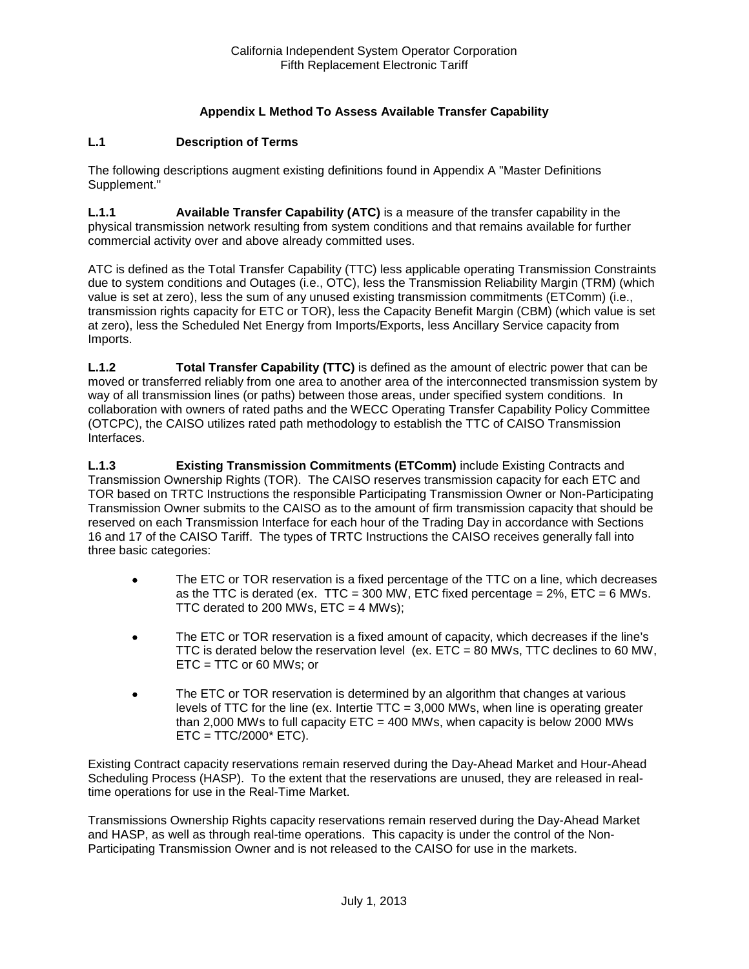# **Appendix L Method To Assess Available Transfer Capability**

# <span id="page-1-1"></span><span id="page-1-0"></span>**L.1 Description of Terms**

The following descriptions augment existing definitions found in Appendix A "Master Definitions Supplement."

**L.1.1 Available Transfer Capability (ATC)** is a measure of the transfer capability in the physical transmission network resulting from system conditions and that remains available for further commercial activity over and above already committed uses.

ATC is defined as the Total Transfer Capability (TTC) less applicable operating Transmission Constraints due to system conditions and Outages (i.e., OTC), less the Transmission Reliability Margin (TRM) (which value is set at zero), less the sum of any unused existing transmission commitments (ETComm) (i.e., transmission rights capacity for ETC or TOR), less the Capacity Benefit Margin (CBM) (which value is set at zero), less the Scheduled Net Energy from Imports/Exports, less Ancillary Service capacity from Imports.

<span id="page-1-2"></span>**L.1.2 Total Transfer Capability (TTC)** is defined as the amount of electric power that can be moved or transferred reliably from one area to another area of the interconnected transmission system by way of all transmission lines (or paths) between those areas, under specified system conditions. In collaboration with owners of rated paths and the WECC Operating Transfer Capability Policy Committee (OTCPC), the CAISO utilizes rated path methodology to establish the TTC of CAISO Transmission Interfaces.

<span id="page-1-3"></span>**L.1.3 Existing Transmission Commitments (ETComm)** include Existing Contracts and Transmission Ownership Rights (TOR). The CAISO reserves transmission capacity for each ETC and TOR based on TRTC Instructions the responsible Participating Transmission Owner or Non-Participating Transmission Owner submits to the CAISO as to the amount of firm transmission capacity that should be reserved on each Transmission Interface for each hour of the Trading Day in accordance with Sections 16 and 17 of the CAISO Tariff. The types of TRTC Instructions the CAISO receives generally fall into three basic categories:

- The ETC or TOR reservation is a fixed percentage of the TTC on a line, which decreases as the TTC is derated (ex. TTC = 300 MW, ETC fixed percentage =  $2\%$ , ETC = 6 MWs. TTC derated to 200 MWs,  $ETC = 4$  MWs);
- The ETC or TOR reservation is a fixed amount of capacity, which decreases if the line's TTC is derated below the reservation level (ex.  $ETC = 80$  MWs, TTC declines to 60 MW, ETC = TTC or 60 MWs; or
- The ETC or TOR reservation is determined by an algorithm that changes at various levels of TTC for the line (ex. Intertie TTC = 3,000 MWs, when line is operating greater than 2,000 MWs to full capacity  $ETC = 400$  MWs, when capacity is below 2000 MWs  $ETC = TTC/2000* ETC$ ).

Existing Contract capacity reservations remain reserved during the Day-Ahead Market and Hour-Ahead Scheduling Process (HASP). To the extent that the reservations are unused, they are released in realtime operations for use in the Real-Time Market.

Transmissions Ownership Rights capacity reservations remain reserved during the Day-Ahead Market and HASP, as well as through real-time operations. This capacity is under the control of the Non-Participating Transmission Owner and is not released to the CAISO for use in the markets.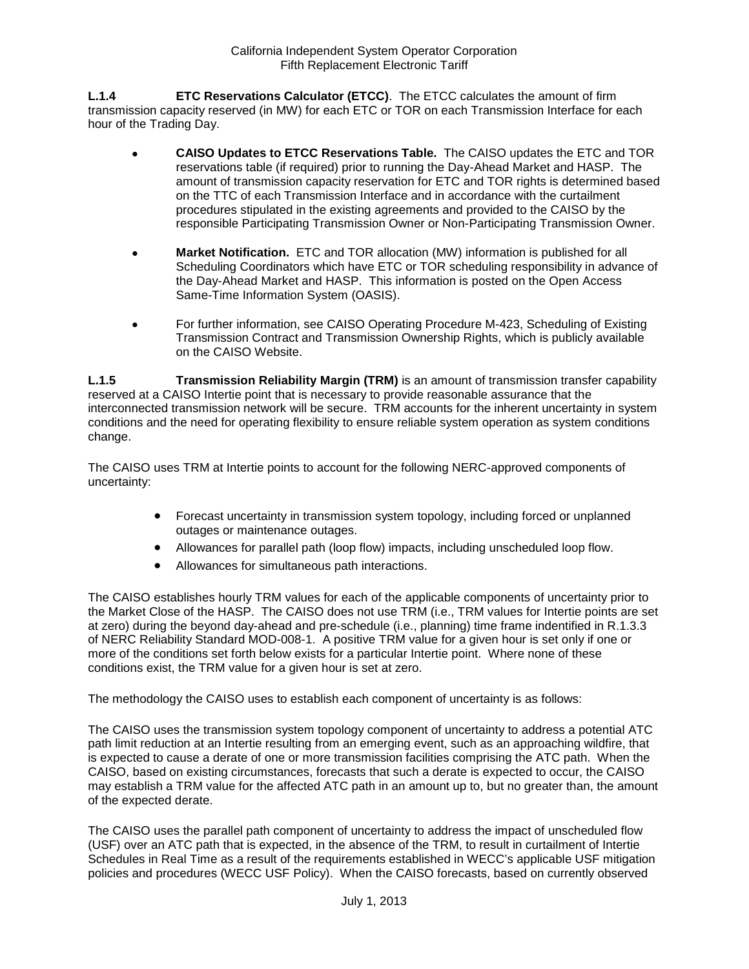<span id="page-2-0"></span>**L.1.4 ETC Reservations Calculator (ETCC)**. The ETCC calculates the amount of firm transmission capacity reserved (in MW) for each ETC or TOR on each Transmission Interface for each hour of the Trading Day.

- **CAISO Updates to ETCC Reservations Table.** The CAISO updates the ETC and TOR reservations table (if required) prior to running the Day-Ahead Market and HASP. The amount of transmission capacity reservation for ETC and TOR rights is determined based on the TTC of each Transmission Interface and in accordance with the curtailment procedures stipulated in the existing agreements and provided to the CAISO by the responsible Participating Transmission Owner or Non-Participating Transmission Owner.
- **Market Notification.** ETC and TOR allocation (MW) information is published for all Scheduling Coordinators which have ETC or TOR scheduling responsibility in advance of the Day-Ahead Market and HASP. This information is posted on the Open Access Same-Time Information System (OASIS).
- For further information, see CAISO Operating Procedure M-423, Scheduling of Existing Transmission Contract and Transmission Ownership Rights, which is publicly available on the CAISO Website.

<span id="page-2-1"></span>**L.1.5 Transmission Reliability Margin (TRM)** is an amount of transmission transfer capability reserved at a CAISO Intertie point that is necessary to provide reasonable assurance that the interconnected transmission network will be secure. TRM accounts for the inherent uncertainty in system conditions and the need for operating flexibility to ensure reliable system operation as system conditions change.

The CAISO uses TRM at Intertie points to account for the following NERC-approved components of uncertainty:

- Forecast uncertainty in transmission system topology, including forced or unplanned outages or maintenance outages.
- Allowances for parallel path (loop flow) impacts, including unscheduled loop flow.
- Allowances for simultaneous path interactions.

The CAISO establishes hourly TRM values for each of the applicable components of uncertainty prior to the Market Close of the HASP. The CAISO does not use TRM (i.e., TRM values for Intertie points are set at zero) during the beyond day-ahead and pre-schedule (i.e., planning) time frame indentified in R.1.3.3 of NERC Reliability Standard MOD-008-1. A positive TRM value for a given hour is set only if one or more of the conditions set forth below exists for a particular Intertie point. Where none of these conditions exist, the TRM value for a given hour is set at zero.

The methodology the CAISO uses to establish each component of uncertainty is as follows:

The CAISO uses the transmission system topology component of uncertainty to address a potential ATC path limit reduction at an Intertie resulting from an emerging event, such as an approaching wildfire, that is expected to cause a derate of one or more transmission facilities comprising the ATC path. When the CAISO, based on existing circumstances, forecasts that such a derate is expected to occur, the CAISO may establish a TRM value for the affected ATC path in an amount up to, but no greater than, the amount of the expected derate.

The CAISO uses the parallel path component of uncertainty to address the impact of unscheduled flow (USF) over an ATC path that is expected, in the absence of the TRM, to result in curtailment of Intertie Schedules in Real Time as a result of the requirements established in WECC's applicable USF mitigation policies and procedures (WECC USF Policy). When the CAISO forecasts, based on currently observed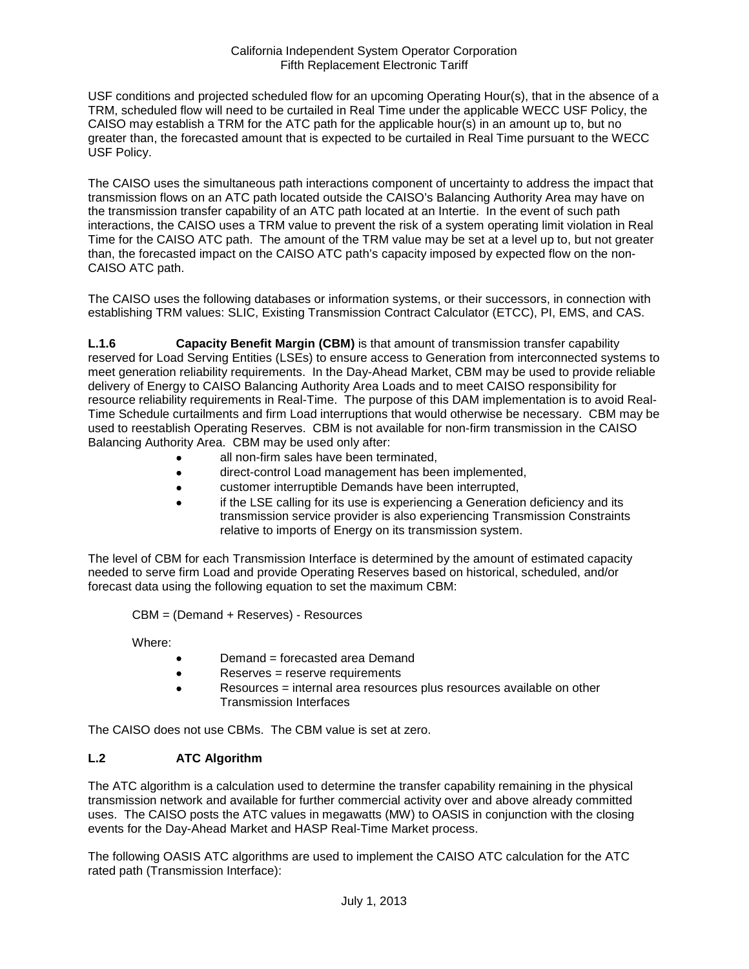#### California Independent System Operator Corporation Fifth Replacement Electronic Tariff

USF conditions and projected scheduled flow for an upcoming Operating Hour(s), that in the absence of a TRM, scheduled flow will need to be curtailed in Real Time under the applicable WECC USF Policy, the CAISO may establish a TRM for the ATC path for the applicable hour(s) in an amount up to, but no greater than, the forecasted amount that is expected to be curtailed in Real Time pursuant to the WECC USF Policy.

The CAISO uses the simultaneous path interactions component of uncertainty to address the impact that transmission flows on an ATC path located outside the CAISO's Balancing Authority Area may have on the transmission transfer capability of an ATC path located at an Intertie. In the event of such path interactions, the CAISO uses a TRM value to prevent the risk of a system operating limit violation in Real Time for the CAISO ATC path. The amount of the TRM value may be set at a level up to, but not greater than, the forecasted impact on the CAISO ATC path's capacity imposed by expected flow on the non-CAISO ATC path.

The CAISO uses the following databases or information systems, or their successors, in connection with establishing TRM values: SLIC, Existing Transmission Contract Calculator (ETCC), PI, EMS, and CAS.

<span id="page-3-0"></span>**L.1.6 Capacity Benefit Margin (CBM)** is that amount of transmission transfer capability reserved for Load Serving Entities (LSEs) to ensure access to Generation from interconnected systems to meet generation reliability requirements. In the Day-Ahead Market, CBM may be used to provide reliable delivery of Energy to CAISO Balancing Authority Area Loads and to meet CAISO responsibility for resource reliability requirements in Real-Time. The purpose of this DAM implementation is to avoid Real-Time Schedule curtailments and firm Load interruptions that would otherwise be necessary. CBM may be used to reestablish Operating Reserves. CBM is not available for non-firm transmission in the CAISO Balancing Authority Area. CBM may be used only after:

- all non-firm sales have been terminated,
- direct-control Load management has been implemented,
- customer interruptible Demands have been interrupted,
- if the LSE calling for its use is experiencing a Generation deficiency and its transmission service provider is also experiencing Transmission Constraints relative to imports of Energy on its transmission system.

The level of CBM for each Transmission Interface is determined by the amount of estimated capacity needed to serve firm Load and provide Operating Reserves based on historical, scheduled, and/or forecast data using the following equation to set the maximum CBM:

CBM = (Demand + Reserves) - Resources

Where:

- Demand = forecasted area Demand
- Reserves = reserve requirements
- Resources = internal area resources plus resources available on other Transmission Interfaces

The CAISO does not use CBMs. The CBM value is set at zero.

# <span id="page-3-1"></span>**L.2 ATC Algorithm**

The ATC algorithm is a calculation used to determine the transfer capability remaining in the physical transmission network and available for further commercial activity over and above already committed uses. The CAISO posts the ATC values in megawatts (MW) to OASIS in conjunction with the closing events for the Day-Ahead Market and HASP Real-Time Market process.

The following OASIS ATC algorithms are used to implement the CAISO ATC calculation for the ATC rated path (Transmission Interface):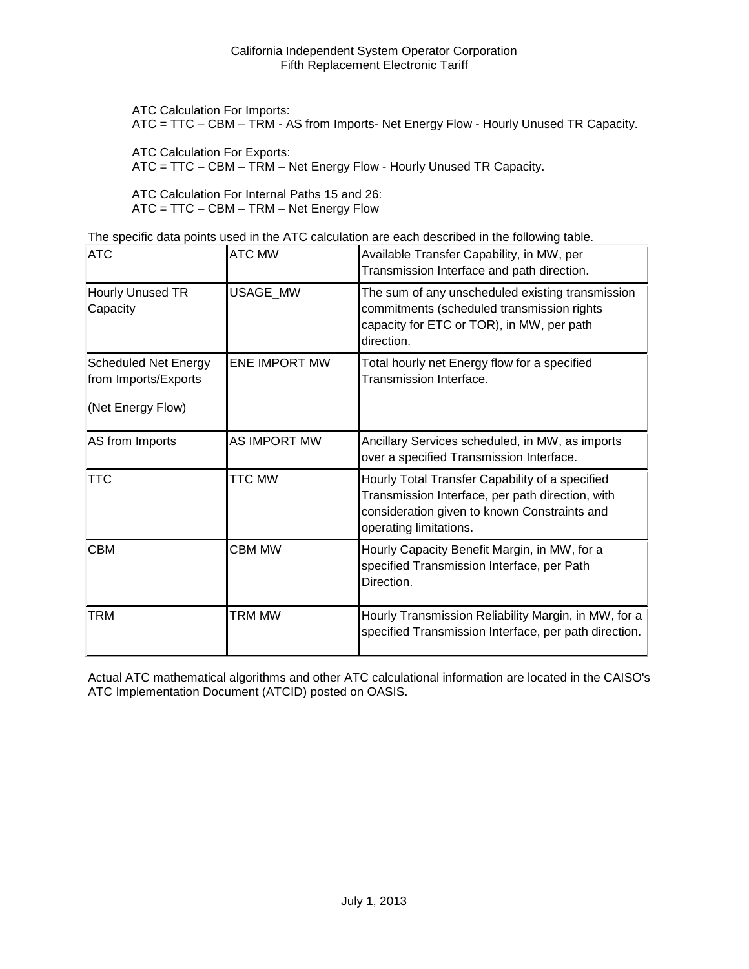ATC Calculation For Imports:

ATC = TTC – CBM – TRM - AS from Imports- Net Energy Flow - Hourly Unused TR Capacity.

ATC Calculation For Exports:

ATC = TTC – CBM – TRM – Net Energy Flow - Hourly Unused TR Capacity.

ATC Calculation For Internal Paths 15 and 26: ATC = TTC – CBM – TRM – Net Energy Flow

The specific data points used in the ATC calculation are each described in the following table.

| <b>ATC</b>                                                               | <b>ATC MW</b>        | Available Transfer Capability, in MW, per<br>Transmission Interface and path direction.                                                                                       |
|--------------------------------------------------------------------------|----------------------|-------------------------------------------------------------------------------------------------------------------------------------------------------------------------------|
| Hourly Unused TR<br>Capacity                                             | USAGE_MW             | The sum of any unscheduled existing transmission<br>commitments (scheduled transmission rights<br>capacity for ETC or TOR), in MW, per path<br>direction.                     |
| <b>Scheduled Net Energy</b><br>from Imports/Exports<br>(Net Energy Flow) | <b>ENE IMPORT MW</b> | Total hourly net Energy flow for a specified<br>Transmission Interface.                                                                                                       |
| AS from Imports                                                          | AS IMPORT MW         | Ancillary Services scheduled, in MW, as imports<br>over a specified Transmission Interface.                                                                                   |
| <b>TTC</b>                                                               | <b>TTC MW</b>        | Hourly Total Transfer Capability of a specified<br>Transmission Interface, per path direction, with<br>consideration given to known Constraints and<br>operating limitations. |
| <b>CBM</b>                                                               | <b>CBM MW</b>        | Hourly Capacity Benefit Margin, in MW, for a<br>specified Transmission Interface, per Path<br>Direction.                                                                      |
| <b>TRM</b>                                                               | <b>TRM MW</b>        | Hourly Transmission Reliability Margin, in MW, for a<br>specified Transmission Interface, per path direction.                                                                 |

Actual ATC mathematical algorithms and other ATC calculational information are located in the CAISO's ATC Implementation Document (ATCID) posted on OASIS.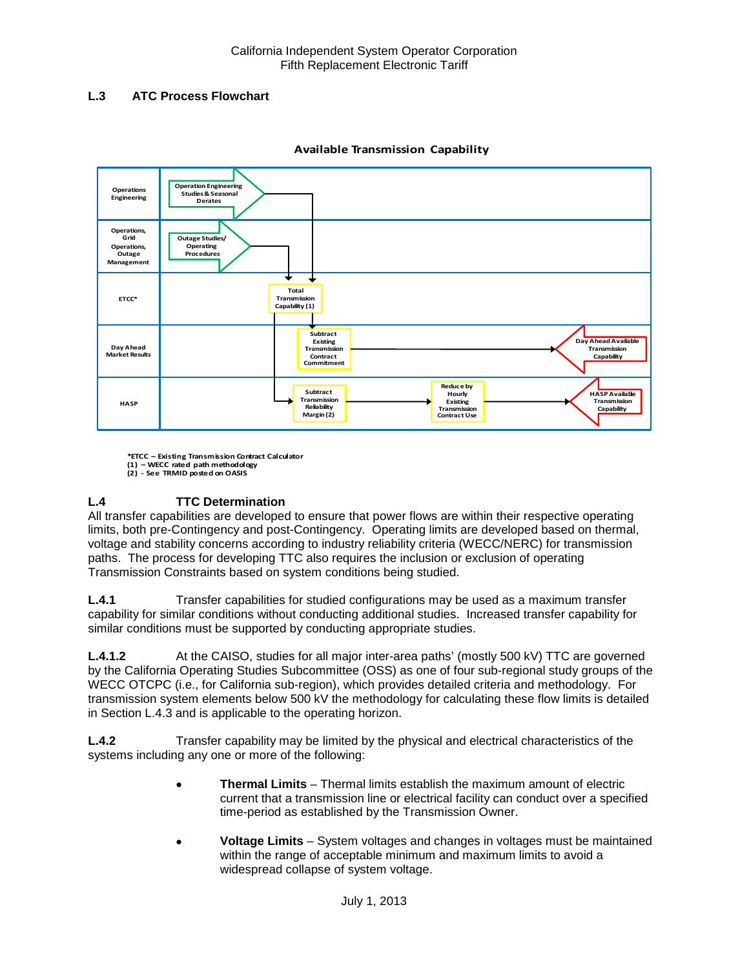# <span id="page-5-0"></span>**L.3 ATC Process Flowchart**



#### **Available Transmission Capability**

**\*ETCC – Existing Transmission Contract Calculator (1) – WECC rated path methodology**

# **L.4 TTC Determination**

All transfer capabilities are developed to ensure that power flows are within their respective operating limits, both pre-Contingency and post-Contingency. Operating limits are developed based on thermal, voltage and stability concerns according to industry reliability criteria (WECC/NERC) for transmission paths. The process for developing TTC also requires the inclusion or exclusion of operating Transmission Constraints based on system conditions being studied.

<span id="page-5-1"></span>**L.4.1** Transfer capabilities for studied configurations may be used as a maximum transfer capability for similar conditions without conducting additional studies. Increased transfer capability for similar conditions must be supported by conducting appropriate studies.

**L.4.1.2** At the CAISO, studies for all major inter-area paths' (mostly 500 kV) TTC are governed by the California Operating Studies Subcommittee (OSS) as one of four sub-regional study groups of the WECC OTCPC (i.e., for California sub-region), which provides detailed criteria and methodology. For transmission system elements below 500 kV the methodology for calculating these flow limits is detailed in Section L.4.3 and is applicable to the operating horizon.

<span id="page-5-2"></span>**L.4.2** Transfer capability may be limited by the physical and electrical characteristics of the systems including any one or more of the following:

- **Thermal Limits** Thermal limits establish the maximum amount of electric current that a transmission line or electrical facility can conduct over a specified time-period as established by the Transmission Owner.
- **Voltage Limits** System voltages and changes in voltages must be maintained within the range of acceptable minimum and maximum limits to avoid a widespread collapse of system voltage.

**<sup>(2)</sup> - See TRMID posted on OASIS**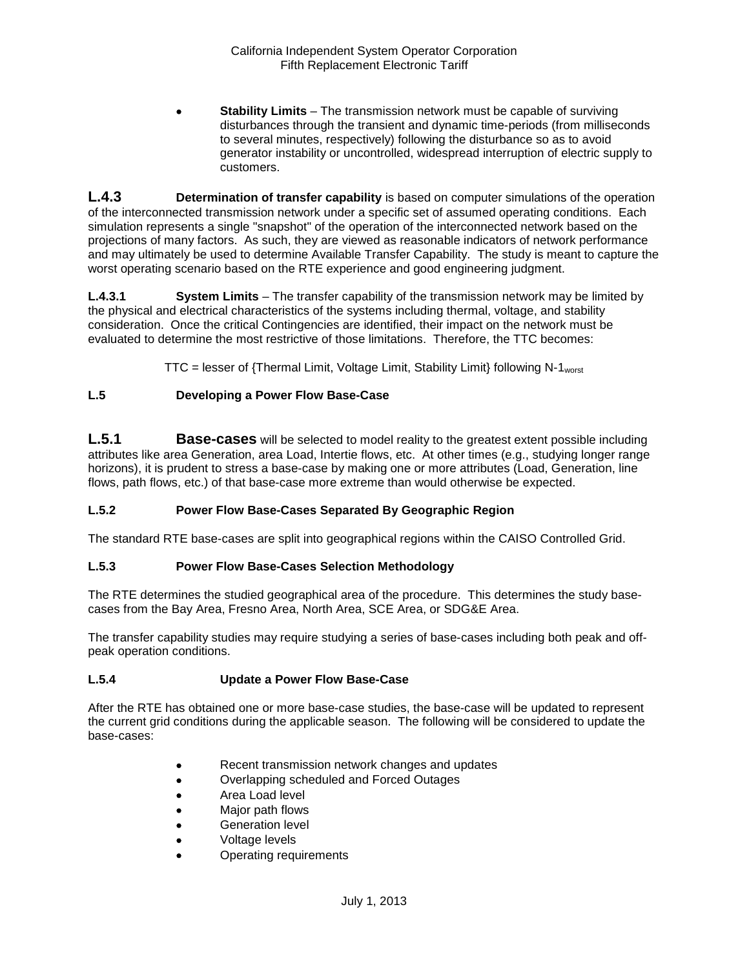**Stability Limits** – The transmission network must be capable of surviving disturbances through the transient and dynamic time-periods (from milliseconds to several minutes, respectively) following the disturbance so as to avoid generator instability or uncontrolled, widespread interruption of electric supply to customers.

<span id="page-6-0"></span>**L.4.3 Determination of transfer capability** is based on computer simulations of the operation of the interconnected transmission network under a specific set of assumed operating conditions. Each simulation represents a single "snapshot" of the operation of the interconnected network based on the projections of many factors. As such, they are viewed as reasonable indicators of network performance and may ultimately be used to determine Available Transfer Capability. The study is meant to capture the worst operating scenario based on the RTE experience and good engineering judgment.

**L.4.3.1 System Limits** – The transfer capability of the transmission network may be limited by the physical and electrical characteristics of the systems including thermal, voltage, and stability consideration. Once the critical Contingencies are identified, their impact on the network must be evaluated to determine the most restrictive of those limitations. Therefore, the TTC becomes:

TTC = lesser of {Thermal Limit, Voltage Limit, Stability Limit} following N-1<sub>worst</sub>

# <span id="page-6-1"></span>**L.5 Developing a Power Flow Base-Case**

<span id="page-6-2"></span>**L.5.1 Base-cases** will be selected to model reality to the greatest extent possible including attributes like area Generation, area Load, Intertie flows, etc. At other times (e.g., studying longer range horizons), it is prudent to stress a base-case by making one or more attributes (Load, Generation, line flows, path flows, etc.) of that base-case more extreme than would otherwise be expected.

# <span id="page-6-3"></span>**L.5.2 Power Flow Base-Cases Separated By Geographic Region**

The standard RTE base-cases are split into geographical regions within the CAISO Controlled Grid.

# <span id="page-6-4"></span>**L.5.3 Power Flow Base-Cases Selection Methodology**

The RTE determines the studied geographical area of the procedure. This determines the study basecases from the Bay Area, Fresno Area, North Area, SCE Area, or SDG&E Area.

The transfer capability studies may require studying a series of base-cases including both peak and offpeak operation conditions.

# <span id="page-6-5"></span>**L.5.4 Update a Power Flow Base-Case**

After the RTE has obtained one or more base-case studies, the base-case will be updated to represent the current grid conditions during the applicable season. The following will be considered to update the base-cases:

- Recent transmission network changes and updates
- Overlapping scheduled and Forced Outages
- Area Load level
- Major path flows
- Generation level
- Voltage levels
- Operating requirements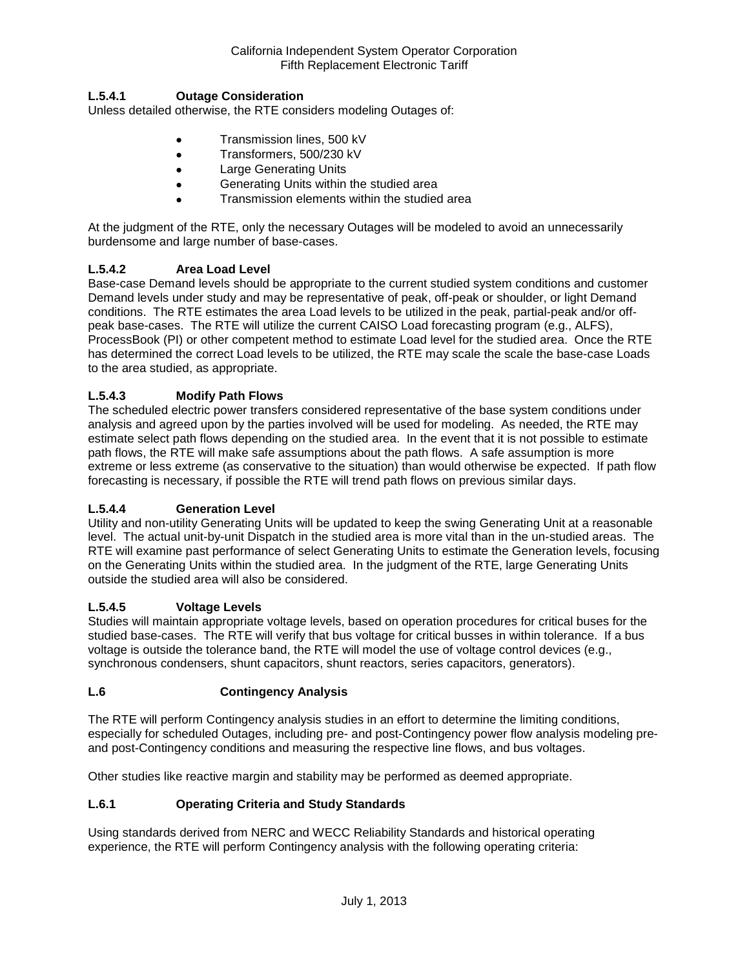# **L.5.4.1 Outage Consideration**

Unless detailed otherwise, the RTE considers modeling Outages of:

- Transmission lines, 500 kV
- Transformers, 500/230 kV
- Large Generating Units
- Generating Units within the studied area
- Transmission elements within the studied area

At the judgment of the RTE, only the necessary Outages will be modeled to avoid an unnecessarily burdensome and large number of base-cases.

# **L.5.4.2 Area Load Level**

Base-case Demand levels should be appropriate to the current studied system conditions and customer Demand levels under study and may be representative of peak, off-peak or shoulder, or light Demand conditions. The RTE estimates the area Load levels to be utilized in the peak, partial-peak and/or offpeak base-cases. The RTE will utilize the current CAISO Load forecasting program (e.g., ALFS), ProcessBook (PI) or other competent method to estimate Load level for the studied area. Once the RTE has determined the correct Load levels to be utilized, the RTE may scale the scale the base-case Loads to the area studied, as appropriate.

# **L.5.4.3 Modify Path Flows**

The scheduled electric power transfers considered representative of the base system conditions under analysis and agreed upon by the parties involved will be used for modeling. As needed, the RTE may estimate select path flows depending on the studied area. In the event that it is not possible to estimate path flows, the RTE will make safe assumptions about the path flows. A safe assumption is more extreme or less extreme (as conservative to the situation) than would otherwise be expected. If path flow forecasting is necessary, if possible the RTE will trend path flows on previous similar days.

# **L.5.4.4 Generation Level**

Utility and non-utility Generating Units will be updated to keep the swing Generating Unit at a reasonable level. The actual unit-by-unit Dispatch in the studied area is more vital than in the un-studied areas. The RTE will examine past performance of select Generating Units to estimate the Generation levels, focusing on the Generating Units within the studied area. In the judgment of the RTE, large Generating Units outside the studied area will also be considered.

# **L.5.4.5 Voltage Levels**

Studies will maintain appropriate voltage levels, based on operation procedures for critical buses for the studied base-cases. The RTE will verify that bus voltage for critical busses in within tolerance. If a bus voltage is outside the tolerance band, the RTE will model the use of voltage control devices (e.g., synchronous condensers, shunt capacitors, shunt reactors, series capacitors, generators).

# <span id="page-7-0"></span>**L.6 Contingency Analysis**

The RTE will perform Contingency analysis studies in an effort to determine the limiting conditions, especially for scheduled Outages, including pre- and post-Contingency power flow analysis modeling preand post-Contingency conditions and measuring the respective line flows, and bus voltages.

Other studies like reactive margin and stability may be performed as deemed appropriate.

# <span id="page-7-1"></span>**L.6.1 Operating Criteria and Study Standards**

Using standards derived from NERC and WECC Reliability Standards and historical operating experience, the RTE will perform Contingency analysis with the following operating criteria: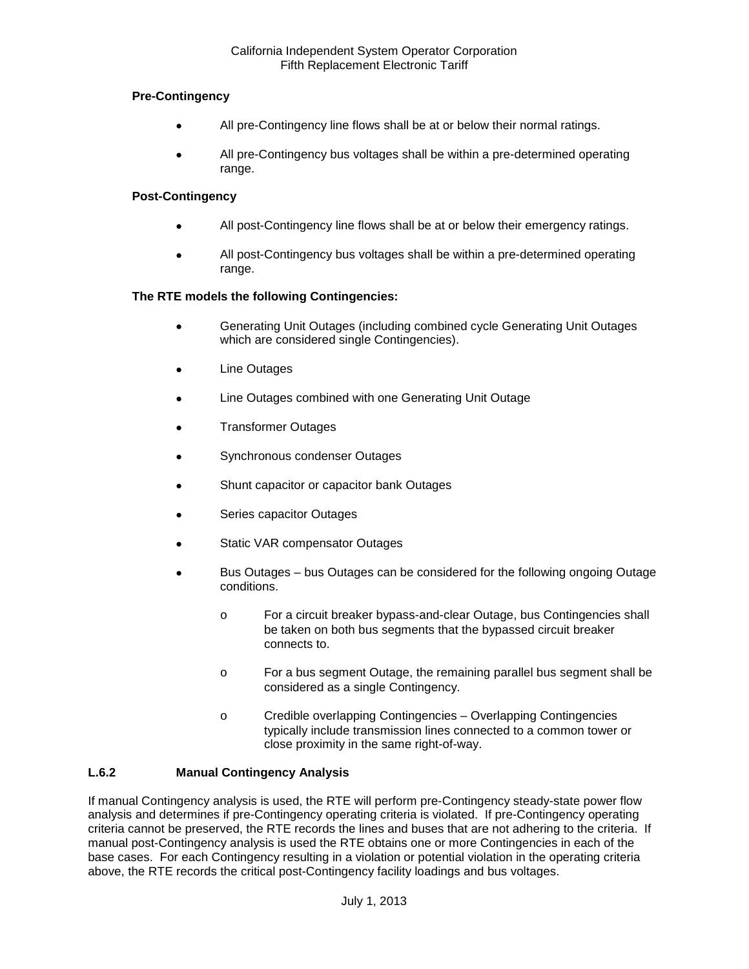# **Pre-Contingency**

- All pre-Contingency line flows shall be at or below their normal ratings.
- All pre-Contingency bus voltages shall be within a pre-determined operating range.

# **Post-Contingency**

- All post-Contingency line flows shall be at or below their emergency ratings.
- All post-Contingency bus voltages shall be within a pre-determined operating range.

# **The RTE models the following Contingencies:**

- Generating Unit Outages (including combined cycle Generating Unit Outages which are considered single Contingencies).
- **Line Outages**
- Line Outages combined with one Generating Unit Outage
- Transformer Outages
- Synchronous condenser Outages
- Shunt capacitor or capacitor bank Outages
- Series capacitor Outages
- Static VAR compensator Outages
- Bus Outages bus Outages can be considered for the following ongoing Outage conditions.
	- o For a circuit breaker bypass-and-clear Outage, bus Contingencies shall be taken on both bus segments that the bypassed circuit breaker connects to.
	- o For a bus segment Outage, the remaining parallel bus segment shall be considered as a single Contingency.
	- o Credible overlapping Contingencies Overlapping Contingencies typically include transmission lines connected to a common tower or close proximity in the same right-of-way.

# <span id="page-8-0"></span>**L.6.2 Manual Contingency Analysis**

If manual Contingency analysis is used, the RTE will perform pre-Contingency steady-state power flow analysis and determines if pre-Contingency operating criteria is violated. If pre-Contingency operating criteria cannot be preserved, the RTE records the lines and buses that are not adhering to the criteria. If manual post-Contingency analysis is used the RTE obtains one or more Contingencies in each of the base cases. For each Contingency resulting in a violation or potential violation in the operating criteria above, the RTE records the critical post-Contingency facility loadings and bus voltages.